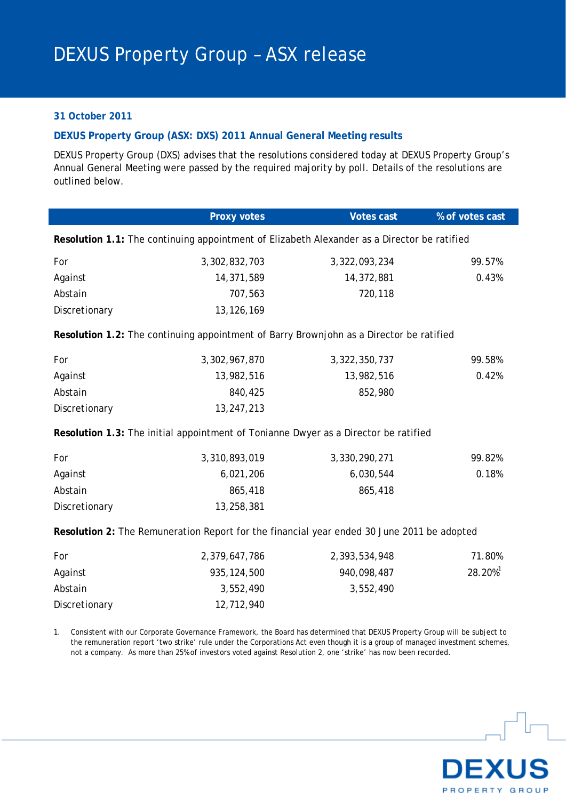## **31 October 2011**

## **DEXUS Property Group (ASX: DXS) 2011 Annual General Meeting results**

DEXUS Property Group (DXS) advises that the resolutions considered today at DEXUS Property Group's Annual General Meeting were passed by the required majority by poll. Details of the resolutions are outlined below.

|                                                                                             | Proxy votes   | <b>Votes cast</b> | % of votes cast |  |  |  |
|---------------------------------------------------------------------------------------------|---------------|-------------------|-----------------|--|--|--|
| Resolution 1.1: The continuing appointment of Elizabeth Alexander as a Director be ratified |               |                   |                 |  |  |  |
| For                                                                                         | 3,302,832,703 | 3,322,093,234     | 99.57%          |  |  |  |
| Against                                                                                     | 14,371,589    | 14,372,881        | 0.43%           |  |  |  |
| Abstain                                                                                     | 707,563       | 720,118           |                 |  |  |  |
| Discretionary                                                                               | 13, 126, 169  |                   |                 |  |  |  |
| Resolution 1.2: The continuing appointment of Barry Brownjohn as a Director be ratified     |               |                   |                 |  |  |  |
| For                                                                                         | 3,302,967,870 | 3,322,350,737     | 99.58%          |  |  |  |
| Against                                                                                     | 13,982,516    | 13,982,516        | 0.42%           |  |  |  |
| Abstain                                                                                     | 840,425       | 852,980           |                 |  |  |  |
| Discretionary                                                                               | 13,247,213    |                   |                 |  |  |  |
| Resolution 1.3: The initial appointment of Tonianne Dwyer as a Director be ratified         |               |                   |                 |  |  |  |
| For                                                                                         | 3,310,893,019 | 3,330,290,271     | 99.82%          |  |  |  |
| Against                                                                                     | 6,021,206     | 6,030,544         | 0.18%           |  |  |  |
| Abstain                                                                                     | 865,418       | 865,418           |                 |  |  |  |
| Discretionary                                                                               | 13,258,381    |                   |                 |  |  |  |
| Resolution 2: The Remuneration Report for the financial year ended 30 June 2011 be adopted  |               |                   |                 |  |  |  |
| For                                                                                         | 2,379,647,786 | 2,393,534,948     | 71.80%          |  |  |  |
| Against                                                                                     | 935, 124, 500 | 940,098,487       | 28.20%          |  |  |  |
| Abstain                                                                                     | 3,552,490     | 3,552,490         |                 |  |  |  |
| Discretionary                                                                               | 12,712,940    |                   |                 |  |  |  |

1. Consistent with our Corporate Governance Framework, the Board has determined that DEXUS Property Group will be subject to the remuneration report 'two strike' rule under the Corporations Act even though it is a group of managed investment schemes, not a company. As more than 25% of investors voted against Resolution 2, one 'strike' has now been recorded.